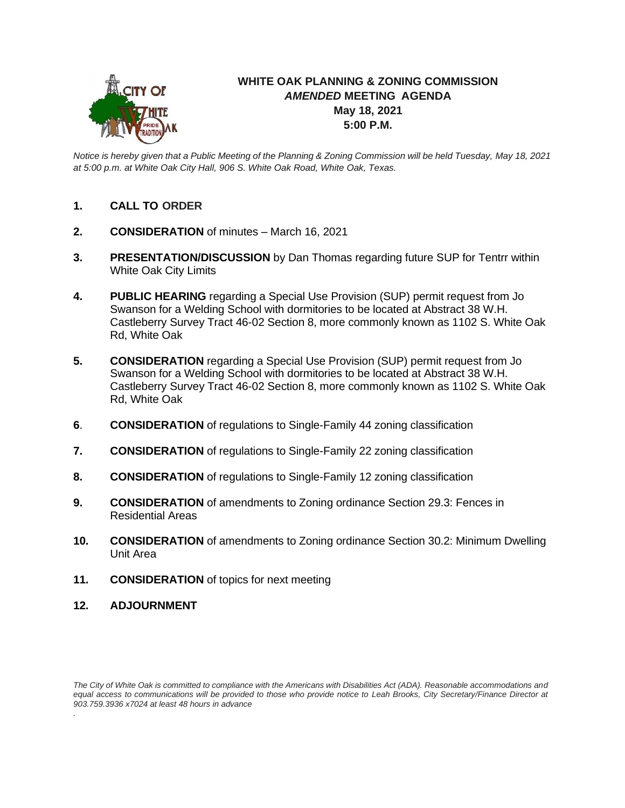

## **WHITE OAK PLANNING & ZONING COMMISSION** *AMENDED* **MEETING AGENDA May 18, 2021 5:00 P.M.**

*Notice is hereby given that a Public Meeting of the Planning & Zoning Commission will be held Tuesday, May 18, 2021 at 5:00 p.m. at White Oak City Hall, 906 S. White Oak Road, White Oak, Texas.*

- **1. CALL TO ORDER**
- **2. CONSIDERATION** of minutes March 16, 2021
- **3. PRESENTATION/DISCUSSION** by Dan Thomas regarding future SUP for Tentrr within White Oak City Limits
- **4. PUBLIC HEARING** regarding a Special Use Provision (SUP) permit request from Jo Swanson for a Welding School with dormitories to be located at Abstract 38 W.H. Castleberry Survey Tract 46-02 Section 8, more commonly known as 1102 S. White Oak Rd, White Oak
- **5. CONSIDERATION** regarding a Special Use Provision (SUP) permit request from Jo Swanson for a Welding School with dormitories to be located at Abstract 38 W.H. Castleberry Survey Tract 46-02 Section 8, more commonly known as 1102 S. White Oak Rd, White Oak
- **6**. **CONSIDERATION** of regulations to Single-Family 44 zoning classification
- **7. CONSIDERATION** of regulations to Single-Family 22 zoning classification
- **8. CONSIDERATION** of regulations to Single-Family 12 zoning classification
- **9. CONSIDERATION** of amendments to Zoning ordinance Section 29.3: Fences in Residential Areas
- **10. CONSIDERATION** of amendments to Zoning ordinance Section 30.2: Minimum Dwelling Unit Area
- **11. CONSIDERATION** of topics for next meeting
- **12. ADJOURNMENT**

*The City of White Oak is committed to compliance with the Americans with Disabilities Act (ADA). Reasonable accommodations and equal access to communications will be provided to those who provide notice to Leah Brooks, City Secretary/Finance Director at 903.759.3936 x7024 at least 48 hours in advance .*